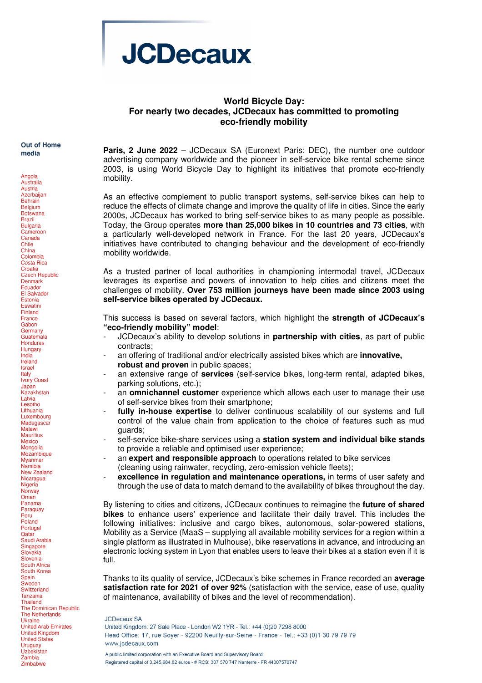

## **World Bicycle Day: For nearly two decades, JCDecaux has committed to promoting eco-friendly mobility**

**Out of Home** media

Angola

Australia Austria **Azerbaijan Bahrain** Belgium **Botswana Brazil Bulgaria** Cameroon Canada Chile China Colombia **Costa Rica** Croatia **Czech Republic** Denmark Ecuador El Salvador Estonia Eswatini Finland France Gabon Germany Guatemala Honduras Hungary India Ireland **Israel** Italy **Ivory Coast** Japan<br>Kazakhstan Latvia Lesotho Lithuania Luxembourg Madagascar Malawi **Mauritius** Mexico Mongolia Mozambique Myanmar Namibia New Zealand Nicaragua Nigeria Norway Oman Panama Paraguay Peru Poland Portugal Qatar Saudi Arabia Singapore Slovakia Slovenia South Africa South Korea Spain Sweden Switzerland **Tanzania** Thailand The Dominican Republic **The Netherlands Ukraine** United Arab Emirates **United Kingdom United States** Uruguay<br>Uzbekistan Zambia Zimbabwe

**Paris, 2 June 2022** – JCDecaux SA (Euronext Paris: DEC), the number one outdoor advertising company worldwide and the pioneer in self-service bike rental scheme since 2003, is using World Bicycle Day to highlight its initiatives that promote eco-friendly mobility.

As an effective complement to public transport systems, self-service bikes can help to reduce the effects of climate change and improve the quality of life in cities. Since the early 2000s, JCDecaux has worked to bring self-service bikes to as many people as possible. Today, the Group operates **more than 25,000 bikes in 10 countries and 73 cities**, with a particularly well-developed network in France. For the last 20 years, JCDecaux's initiatives have contributed to changing behaviour and the development of eco-friendly mobility worldwide.

As a trusted partner of local authorities in championing intermodal travel, JCDecaux leverages its expertise and powers of innovation to help cities and citizens meet the challenges of mobility. **Over 753 million journeys have been made since 2003 using self-service bikes operated by JCDecaux.**

This success is based on several factors, which highlight the **strength of JCDecaux's "eco-friendly mobility" model**:

- JCDecaux's ability to develop solutions in **partnership with cities**, as part of public contracts;
- an offering of traditional and/or electrically assisted bikes which are **innovative, robust and proven** in public spaces;
- an extensive range of **services** (self-service bikes, long-term rental, adapted bikes, parking solutions, etc.);
- an **omnichannel customer** experience which allows each user to manage their use of self-service bikes from their smartphone;
- **fully in-house expertise** to deliver continuous scalability of our systems and full control of the value chain from application to the choice of features such as mud guards;
- self-service bike-share services using a **station system and individual bike stands** to provide a reliable and optimised user experience;
- an **expert and responsible approach** to operations related to bike services (cleaning using rainwater, recycling, zero-emission vehicle fleets);
- excellence in regulation and maintenance operations, in terms of user safety and through the use of data to match demand to the availability of bikes throughout the day.

By listening to cities and citizens, JCDecaux continues to reimagine the **future of shared bikes** to enhance users' experience and facilitate their daily travel. This includes the following initiatives: inclusive and cargo bikes, autonomous, solar-powered stations, Mobility as a Service (MaaS – supplying all available mobility services for a region within a single platform as illustrated in Mulhouse), bike reservations in advance, and introducing an electronic locking system in Lyon that enables users to leave their bikes at a station even if it is full.

Thanks to its quality of service, JCDecaux's bike schemes in France recorded an **average satisfaction rate for 2021 of over 92%** (satisfaction with the service, ease of use, quality of maintenance, availability of bikes and the level of recommendation).

**JCDecaux SA** 

United Kingdom: 27 Sale Place - London W2 1YR - Tel.: +44 (0)20 7298 8000 Head Office: 17, rue Soyer - 92200 Neuilly-sur-Seine - France - Tel.: +33 (0)1 30 79 79 79 www.jcdecaux.com

A public limited corporation with an Executive Board and Supervisory Board Registered capital of 3,245,684.82 euros - # RCS: 307 570 747 Nanterre - FR 44307570747